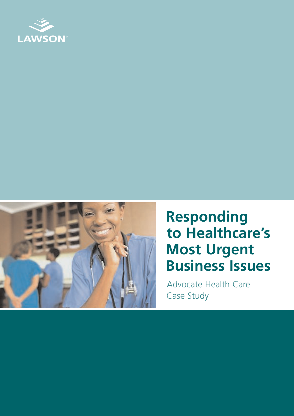



# **Responding to Healthcare's Most Urgent Business Issues**

Advocate Health Care Case Study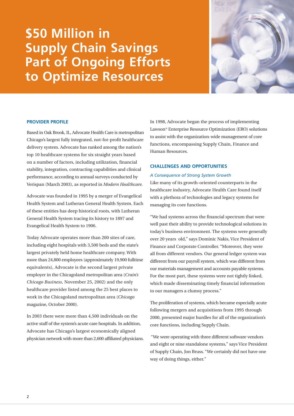# **\$50 Million in Supply Chain Savings Part of Ongoing Efforts to Optimize Resources**



# **PROVIDER PROFILE**

Based in Oak Brook, IL, Advocate Health Care is metropolitan Chicago's largest fully integrated, not-for-profit healthcare delivery system. Advocate has ranked among the nation's top 10 healthcare systems for six straight years based on a number of factors, including utilization, financial stability, integration, contracting capabilities and clinical performance, according to annual surveys conducted by Verispan (March 2003), as reported in *Modern Healthcare*.

Advocate was founded in 1995 by a merger of Evangelical Health System and Lutheran General Health System. Each of these entities has deep historical roots, with Lutheran General Health System tracing its history to 1897 and Evangelical Health System to 1906.

Today Advocate operates more than 200 sites of care, including eight hospitals with 3,500 beds and the state's largest privately held home healthcare company. With more than 24,800 employees (approximately 19,900 fulltime equivalents), Advocate is the second largest private employer in the Chicagoland metropolitan area (*Crain's Chicago Business*, November 25, 2002) and the only healthcare provider listed among the 25 best places to work in the Chicagoland metropolitan area (*Chicago* magazine, October 2000).

In 2003 there were more than 4,500 individuals on the active staff of the system's acute care hospitals. In addition, Advocate has Chicago's largest economically aligned physician network with more than 2,600 affiliated physicians. In 1998, Advocate began the process of implementing Lawson® Enterprise Resource Optimization (ERO) solutions to assist with the organization-wide management of core functions, encompassing Supply Chain, Finance and Human Resources.

# **CHALLENGES AND OPPORTUNITIES**

## *A Consequence of Strong System Growth*

Like many of its growth-oriented counterparts in the healthcare industry, Advocate Health Care found itself with a plethora of technologies and legacy systems for managing its core functions.

"We had systems across the financial spectrum that were well past their ability to provide technological solutions in today's business environment. The systems were generally over 20 years old," says Dominic Nakis, Vice President of Finance and Corporate Controller. "Moreover, they were all from different vendors. Our general ledger system was different from our payroll system, which was different from our materials management and accounts payable systems. For the most part, these systems were not tightly linked, which made disseminating timely financial information to our managers a clumsy process."

The proliferation of systems, which became especially acute following mergers and acquisitions from 1995 through 2000, presented major hurdles for all of the organization's core functions, including Supply Chain.

"We were operating with three different software vendors and eight or nine standalone systems," says Vice President of Supply Chain, Jon Bruss. "We certainly did not have one way of doing things, either."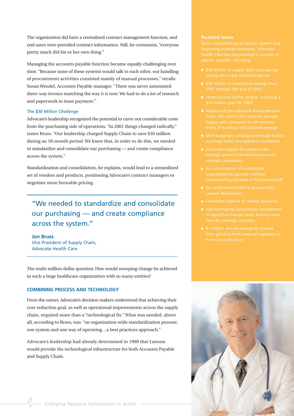The organization did have a centralized contract management function, and end users were provided contract information. Still, he comments, "everyone pretty much did his or her own thing."

Managing the accounts payable function became equally challenging over time. "Because none of these systems would talk to each other, our handling of procurement activities consisted mainly of manual processes," recalls Susan Wendel, Accounts Payable manager. "There was never automated three-way invoice matching the way it is now. We had to do a lot of research and paperwork to issue payment."

# *The \$30 Million Challenge*

Advocate's leadership recognized the potential to carve out considerable costs from the purchasing side of operations. "In 2001 things changed radically," states Bruss. "Our leadership charged Supply Chain to save \$30 million during an 18-month period. We knew that, in order to do this, we needed to standardize and consolidate our purchasing — and create compliance across the system."

Standardization and consolidation, he explains, would lead to a streamlined set of vendors and products, positioning Advocate's contract managers to negotiate more favorable pricing.

"We needed to standardize and consolidate our purchasing — and create compliance across the system."

**Jon Bruss** Vice President of Supply Chain, Advocate Health Care

The multi-million dollar question: How would sweeping change be achieved in such a large healthcare organization with so many entities?

# **COMBINING PROCESS AND TECHNOLOGY**

From the outset, Advocate's decision makers understood that achieving their cost-reduction goal, as well as operational improvements across the supply chain, required more than a "technological fix." What was needed, above all, according to Bruss, was "an organization-wide standardization process: one system and one way of operating…a best practices approach."

Advocate's leadership had already determined in 1998 that Lawson would provide the technological infrastructure for both Accounts Payable and Supply Chain.

#### **Realized Value**

- 
- 
- 
- 
- 
- 
- 
- An accelerated ordering process with
- 
- **Less Purchasing Department involvement**
- 

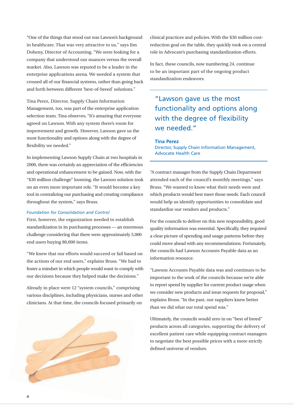"One of the things that stood out was Lawson's background in healthcare. That was very attractive to us," says Jim Doheny, Director of Accounting. "We were looking for a company that understood our nuances versus the overall market. Also, Lawson was reputed to be a leader in the enterprise applications arena. We needed a system that crossed all of our financial systems, rather than going back and forth between different 'best-of-breed' solutions."

Tina Perez, Director, Supply Chain Information Management, too, was part of the enterprise application selection team. Tina observes, "It's amazing that everyone agreed on Lawson. With any system there's room for improvement and growth. However, Lawson gave us the most functionality and options along with the degree of flexibility we needed."

In implementing Lawson Supply Chain at two hospitals in 2000, there was certainly an appreciation of the efficiencies and operational enhancement to be gained. Now, with the "\$30 million challenge" looming, the Lawson solution took on an even more important role. "It would become a key tool in centralizing our purchasing and creating compliance throughout the system," says Bruss.

#### *Foundation for Consolidation and Control*

First, however, the organization needed to establish standardization in its purchasing processes — an enormous challenge considering that there were approximately 5,000 end users buying 80,000 items.

"We knew that our efforts would succeed or fail based on the actions of our end users," explains Bruss. "We had to foster a mindset in which people would want to comply with our decisions because they helped make the decisions."

Already in place were 12 "system councils," comprising various disciplines, including physicians, nurses and other clinicians. At that time, the councils focused primarily on



clinical practices and policies. With the \$30 million costreduction goal on the table, they quickly took on a central role in Advocate's purchasing standardization efforts.

In fact, these councils, now numbering 24, continue to be an important part of the ongoing product standardization endeavors.

"Lawson gave us the most functionality and options along with the degree of flexibility we needed."

#### **Tina Perez**

Director, Supply Chain Information Management, Advocate Health Care

"A contract manager from the Supply Chain Department attended each of the council's monthly meetings," says Bruss. "We wanted to know what their needs were and which products would best meet those needs. Each council would help us identify opportunities to consolidate and standardize our vendors and products."

For the councils to deliver on this new responsibility, good quality information was essential. Specifically, they required a clear picture of spending and usage patterns before they could move ahead with any recommendations. Fortunately, the councils had Lawson Accounts Payable data as an information resource.

"Lawson Accounts Payable data was and continues to be important to the work of the councils because we're able to report spend by supplier for current product usage when we consider new products and issue requests for proposal," explains Bruss. "In the past, our suppliers knew better than we did what our total spend was."

Ultimately, the councils would zero in on "best of breed" products across all categories, supporting the delivery of excellent patient care while equipping contract managers to negotiate the best possible prices with a more strictly defined universe of vendors.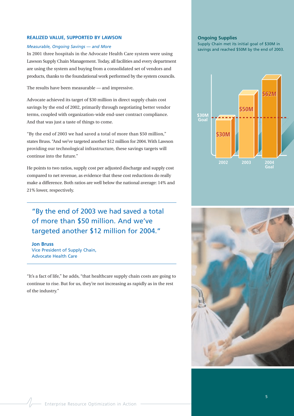## **REALIZED VALUE, SUPPORTED BY LAWSON**

#### *Measurable, Ongoing Savings — and More*

In 2001 three hospitals in the Advocate Health Care system were using Lawson Supply Chain Management. Today, all facilities and every department are using the system and buying from a consolidated set of vendors and products, thanks to the foundational work performed by the system councils.

The results have been measurable — and impressive.

Advocate achieved its target of \$30 million in direct supply chain cost savings by the end of 2002, primarily through negotiating better vendor terms, coupled with organization-wide end-user contract compliance. And that was just a taste of things to come.

"By the end of 2003 we had saved a total of more than \$50 million," states Bruss. "And we've targeted another \$12 million for 2004. With Lawson providing our technological infrastructure, these savings targets will continue into the future."

He points to two ratios, supply cost per adjusted discharge and supply cost compared to net revenue, as evidence that these cost reductions do really make a difference. Both ratios are well below the national average: 14% and 21% lower, respectively.

"By the end of 2003 we had saved a total of more than \$50 million. And we've targeted another \$12 million for 2004."

**Jon Bruss** Vice President of Supply Chain, Advocate Health Care

"It's a fact of life," he adds, "that healthcare supply chain costs are going to continue to rise. But for us, they're not increasing as rapidly as in the rest of the industry."

#### **Ongoing Supplies**

Supply Chain met its initial goal of \$30M in savings and reached \$50M by the end of 2003.



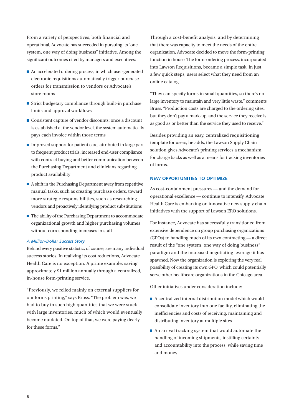From a variety of perspectives, both financial and operational, Advocate has succeeded in pursuing its "one system, one way of doing business" initiative. Among the significant outcomes cited by managers and executives:

- An accelerated ordering process, in which user-generated electronic requisitions automatically trigger purchase orders for transmission to vendors or Advocate's store rooms
- Strict budgetary compliance through built-in purchase limits and approval workflows
- Consistent capture of vendor discounts; once a discount is established at the vendor level, the system automatically pays each invoice within those terms
- $\blacksquare$  Improved support for patient care, attributed in large part to frequent product trials, increased end-user compliance with contract buying and better communication between the Purchasing Department and clinicians regarding product availability
- $\blacksquare$  A shift in the Purchasing Department away from repetitive manual tasks, such as creating purchase orders, toward more strategic responsibilities, such as researching vendors and proactively identifying product substitutions
- $\blacksquare$  The ability of the Purchasing Department to accommodate organizational growth and higher purchasing volumes without corresponding increases in staff

#### *A Million-Dollar Success Story*

Behind every positive statistic, of course, are many individual success stories. In realizing its cost reductions, Advocate Health Care is no exception. A prime example: saving approximately \$1 million annually through a centralized, in-house form-printing service.

"Previously, we relied mainly on external suppliers for our forms printing," says Bruss. "The problem was, we had to buy in such high quantities that we were stuck with large inventories, much of which would eventually become outdated. On top of that, we were paying dearly for these forms."

Through a cost-benefit analysis, and by determining that there was capacity to meet the needs of the entire organization, Advocate decided to move the form-printing function in house. The form-ordering process, incorporated into Lawson Requisitions, became a simple task. In just a few quick steps, users select what they need from an online catalog.

"They can specify forms in small quantities, so there's no large inventory to maintain and very little waste," comments Bruss. "Production costs are charged to the ordering sites, but they don't pay a mark-up, and the service they receive is as good as or better than the service they used to receive."

Besides providing an easy, centralized requisitioning template for users, he adds, the Lawson Supply Chain solution gives Advocate's printing services a mechanism for charge backs as well as a means for tracking inventories of forms.

#### **NEW OPPORTUNITIES TO OPTIMIZE**

As cost-containment pressures — and the demand for operational excellence — continue to intensify, Advocate Health Care is embarking on innovative new supply chain initiatives with the support of Lawson ERO solutions.

For instance, Advocate has successfully transitioned from extensive dependence on group purchasing organizations (GPOs) to handling much of its own contracting — a direct result of the "one system, one way of doing business" paradigm and the increased negotiating leverage it has spawned. Now the organization is exploring the very real possibility of creating its own GPO, which could potentially serve other healthcare organizations in the Chicago area.

Other initiatives under consideration include:

- A centralized internal distribution model which would consolidate inventory into one facility, eliminating the inefficiencies and costs of receiving, maintaining and distributing inventory at multiple sites
- An arrival tracking system that would automate the handling of incoming shipments, instilling certainty and accountability into the process, while saving time and money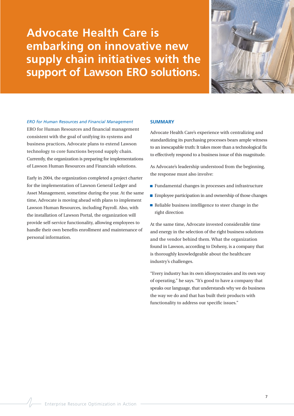**Advocate Health Care is embarking on innovative new supply chain initiatives with the support of Lawson ERO solutions.**



#### *ERO for Human Resources and Financial Management*

ERO for Human Resources and financial management consistent with the goal of unifying its systems and business practices, Advocate plans to extend Lawson technology to core functions beyond supply chain. Currently, the organization is preparing for implementations of Lawson Human Resources and Financials solutions.

Early in 2004, the organization completed a project charter for the implementation of Lawson General Ledger and Asset Management, sometime during the year. At the same time, Advocate is moving ahead with plans to implement Lawson Human Resources, including Payroll. Also, with the installation of Lawson Portal, the organization will provide self-service functionality, allowing employees to handle their own benefits enrollment and maintenance of personal information.

#### **SUMMARY**

Advocate Health Care's experience with centralizing and standardizing its purchasing processes bears ample witness to an inescapable truth: It takes more than a technological fix to effectively respond to a business issue of this magnitude.

As Advocate's leadership understood from the beginning, the response must also involve:

- **Fundamental changes in processes and infrastructure**
- **Employee participation in and ownership of those changes**
- $\blacksquare$  Reliable business intelligence to steer change in the right direction

At the same time, Advocate invested considerable time and energy in the selection of the right business solutions and the vendor behind them. What the organization found in Lawson, according to Doheny, is a company that is thoroughly knowledgeable about the healthcare industry's challenges.

"Every industry has its own idiosyncrasies and its own way of operating," he says. "It's good to have a company that speaks our language, that understands why we do business the way we do and that has built their products with functionality to address our specific issues."